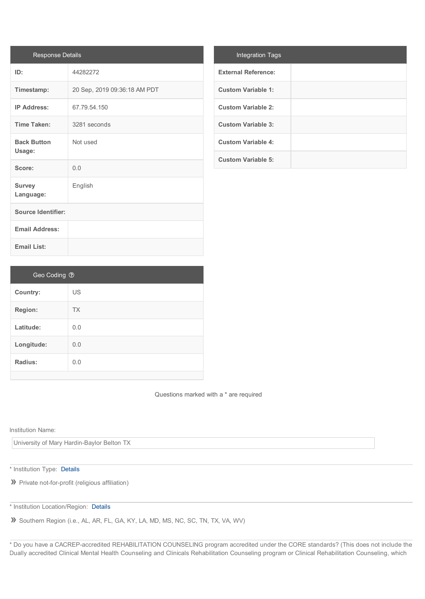| <b>Response Details</b>      |                              |
|------------------------------|------------------------------|
| ID:                          | 44282272                     |
| Timestamp:                   | 20 Sep, 2019 09:36:18 AM PDT |
| <b>IP Address:</b>           | 67.79.54.150                 |
| <b>Time Taken:</b>           | 3281 seconds                 |
| <b>Back Button</b><br>Usage: | Not used                     |
| Score:                       | 0.0                          |
| <b>Survey</b><br>Language:   | English                      |
| Source Identifier:           |                              |
| <b>Email Address:</b>        |                              |
| <b>Email List:</b>           |                              |

| <b>Integration Tags</b>    |  |
|----------------------------|--|
| <b>External Reference:</b> |  |
| <b>Custom Variable 1:</b>  |  |
| <b>Custom Variable 2:</b>  |  |
| <b>Custom Variable 3:</b>  |  |
| <b>Custom Variable 4:</b>  |  |
| <b>Custom Variable 5:</b>  |  |

| Geo Coding ? |           |
|--------------|-----------|
| Country:     | <b>US</b> |
| Region:      | <b>TX</b> |
| Latitude:    | 0.0       |
| Longitude:   | 0.0       |
| Radius:      | 0.0       |
|              |           |

Questions marked with a \* are required

#### Institution Name:

University of Mary Hardin-Baylor Belton TX

\* Institution Type: [Details](javascript:ajaxInlinePopup()

**»** Private not-for-profit (religious affiliation)

\* Institution Location/Region: [Details](javascript:ajaxInlinePopup()

**»** Southern Region (i.e., AL, AR, FL, GA, KY, LA, MD, MS, NC, SC, TN, TX, VA, WV)

\* Do you have a CACREP-accredited REHABILITATION COUNSELING program accredited under the CORE standards? (This does not include the Dually accredited Clinical Mental Health Counseling and Clinicals Rehabilitation Counseling program or Clinical Rehabilitation Counseling, which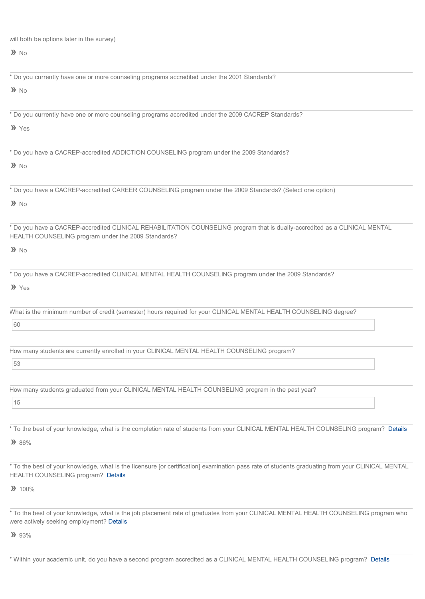will both be options later in the survey)

**»** No

\* Do you currently have one or more counseling programs accredited under the 2001 Standards?

**»** No

\* Do you currently have one or more counseling programs accredited under the 2009 CACREP Standards?

**»** Yes

\* Do you have a CACREP-accredited ADDICTION COUNSELING program under the 2009 Standards?

**»** No

\* Do you have a CACREP-accredited CAREER COUNSELING program under the 2009 Standards? (Select one option)

## **»** No

\* Do you have a CACREP-accredited CLINICAL REHABILITATION COUNSELING program that is dually-accredited as a CLINICAL MENTAL HEALTH COUNSELING program under the 2009 Standards?

**»** No

\* Do you have a CACREP-accredited CLINICAL MENTAL HEALTH COUNSELING program under the 2009 Standards?

## **»** Yes

What is the minimum number of credit (semester) hours required for your CLINICAL MENTAL HEALTH COUNSELING degree?

60

How many students are currently enrolled in your CLINICAL MENTAL HEALTH COUNSELING program?

53

How many students graduated from your CLINICAL MENTAL HEALTH COUNSELING program in the past year?

15

\* To the best of your knowledge, what is the completion rate of students from your CLINICAL MENTAL HEALTH COUNSELING program? [Details](javascript:ajaxInlinePopup()

**»** 86%

\* To the best of your knowledge, what is the licensure [or certification] examination pass rate of students graduating from your CLINICAL MENTAL HEALTH COUNSELING program? [Details](javascript:ajaxInlinePopup()

**»** 100%

\* To the best of your knowledge, what is the job placement rate of graduates from your CLINICAL MENTAL HEALTH COUNSELING program who were actively seeking employment? [Details](javascript:ajaxInlinePopup()

**»** 93%

\* Within your academic unit, do you have a second program accredited as a CLINICAL MENTAL HEALTH COUNSELING program? [Details](javascript:ajaxInlinePopup()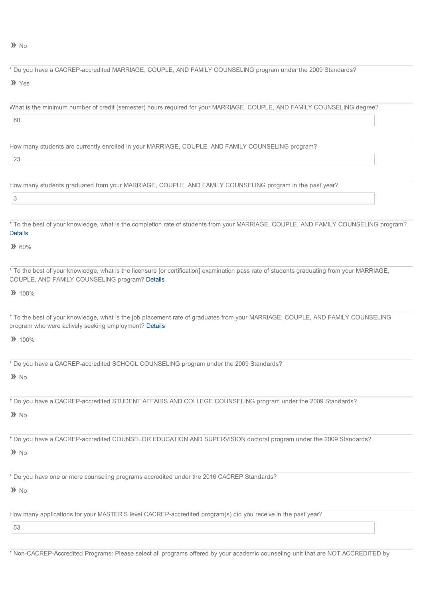**»** No

| * Do you have a CACREP-accredited MARRIAGE, COUPLE, AND FAMILY COUNSELING program under the 2009 Standards?                                                                                  |
|----------------------------------------------------------------------------------------------------------------------------------------------------------------------------------------------|
| >> Yes                                                                                                                                                                                       |
| What is the minimum number of credit (semester) hours required for your MARRIAGE, COUPLE, AND FAMILY COUNSELING degree?                                                                      |
| 60                                                                                                                                                                                           |
| How many students are currently enrolled in your MARRIAGE, COUPLE, AND FAMILY COUNSELING program?                                                                                            |
| 23                                                                                                                                                                                           |
| How many students graduated from your MARRIAGE, COUPLE, AND FAMILY COUNSELING program in the past year?                                                                                      |
| $\overline{3}$                                                                                                                                                                               |
| * To the best of your knowledge, what is the completion rate of students from your MARRIAGE, COUPLE, AND FAMILY COUNSELING program?<br><b>Details</b>                                        |
| $\gg 60\%$                                                                                                                                                                                   |
| * To the best of your knowledge, what is the licensure [or certification] examination pass rate of students graduating from your MARRIAGE,<br>COUPLE, AND FAMILY COUNSELING program? Details |
| $\frac{1}{2}$ 100%                                                                                                                                                                           |
| * To the best of your knowledge, what is the job placement rate of graduates from your MARRIAGE, COUPLE, AND FAMILY COUNSELING<br>program who were actively seeking employment? Details      |
| $\frac{1}{2}$ 100%                                                                                                                                                                           |
| * Do you have a CACREP-accredited SCHOOL COUNSELING program under the 2009 Standards?                                                                                                        |
| $\lambda$ No                                                                                                                                                                                 |
| * Do you have a CACREP-accredited STUDENT AFFAIRS AND COLLEGE COUNSELING program under the 2009 Standards?                                                                                   |
| $\lambda$ No                                                                                                                                                                                 |
| * Do you have a CACREP-accredited COUNSELOR EDUCATION AND SUPERVISION doctoral program under the 2009 Standards?                                                                             |
| $\lambda$ No                                                                                                                                                                                 |
| * Do you have one or more counseling programs accredited under the 2016 CACREP Standards?                                                                                                    |
| $\lambda$ No                                                                                                                                                                                 |
| How many applications for your MASTER'S level CACREP-accredited program(s) did you receive in the past year?                                                                                 |
| 53                                                                                                                                                                                           |

\* Non-CACREP-Accredited Programs: Please select all programs offered by your academic counseling unit that are NOT ACCREDITED by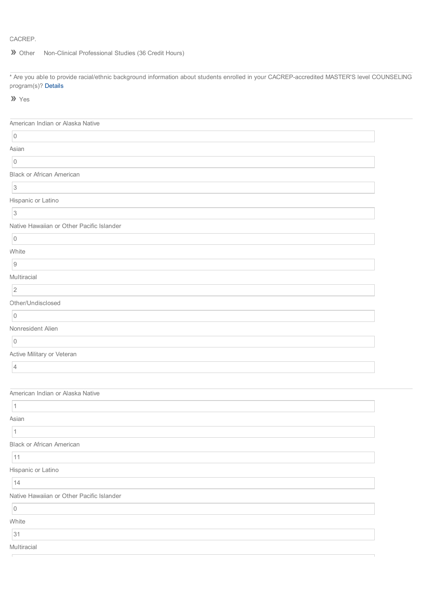# CACREP.

## **»** Other Non-Clinical Professional Studies (36 Credit Hours)

\* Are you able to provide racial/ethnic background information about students enrolled in your CACREP-accredited MASTER'S level COUNSELING program(s)? [Details](javascript:ajaxInlinePopup()

**»** Yes

| American Indian or Alaska Native          |  |
|-------------------------------------------|--|
| $\boxed{0}$                               |  |
| Asian                                     |  |
| $\vert$ 0                                 |  |
| <b>Black or African American</b>          |  |
| $\vert$ 3                                 |  |
| Hispanic or Latino                        |  |
| 3                                         |  |
| Native Hawaiian or Other Pacific Islander |  |
| $\vert 0 \vert$                           |  |
| White                                     |  |
| $\vert$ 9                                 |  |
| Multiracial                               |  |
| $\vert$ 2                                 |  |
| Other/Undisclosed                         |  |
| $\vert 0 \vert$                           |  |
| Nonresident Alien                         |  |
| $\vert$ 0                                 |  |
| Active Military or Veteran                |  |
| $\vert 4 \vert$                           |  |
|                                           |  |
| American Indian or Alaska Native          |  |
| 1                                         |  |
| Asian                                     |  |
| $ 1\rangle$                               |  |
| <b>Black or African American</b>          |  |
| 11                                        |  |
| Hispanic or Latino                        |  |
| 14                                        |  |
| Native Hawaiian or Other Pacific Islander |  |
| $\vert$ 0                                 |  |
| White                                     |  |
| 31                                        |  |
| Multiracial                               |  |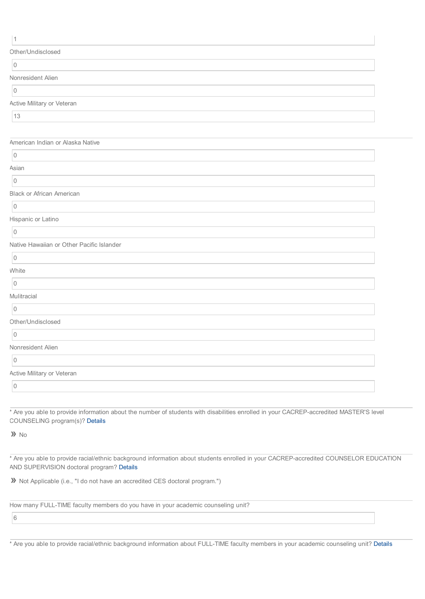| I |  |
|---|--|
|   |  |
|   |  |

|  |  | Other/Undisclosed |
|--|--|-------------------|

#### $\overline{0}$

#### Nonresident Alien

 $\overline{0}$ 

Active Military or Veteran

13

#### American Indian or Alaska Native

| $\overline{0}$                            |
|-------------------------------------------|
| Asian                                     |
| $\overline{0}$                            |
| <b>Black or African American</b>          |
| $\overline{0}$                            |
| Hispanic or Latino                        |
| $\vert$ 0                                 |
| Native Hawaiian or Other Pacific Islander |
| $\vert$ 0                                 |
| White                                     |
| $\overline{0}$                            |
| Mulitracial                               |
| $\vert$ 0                                 |
| Other/Undisclosed                         |
| $\overline{0}$                            |
| Nonresident Alien                         |
| $\overline{0}$                            |
| Active Military or Veteran                |
| $\overline{0}$                            |

\* Are you able to provide information about the number of students with disabilities enrolled in your CACREP-accredited MASTER'S level COUNSELING program(s)? [Details](javascript:ajaxInlinePopup()

**»** No

\* Are you able to provide racial/ethnic background information about students enrolled in your CACREP-accredited COUNSELOR EDUCATION AND SUPERVISION doctoral program? [Details](javascript:ajaxInlinePopup()

**»** Not Applicable (i.e., "I do not have an accredited CES doctoral program.")

How many FULL-TIME faculty members do you have in your academic counseling unit?

6

\* Are you able to provide racial/ethnic background information about FULL-TIME faculty members in your academic counseling unit? [Details](javascript:ajaxInlinePopup()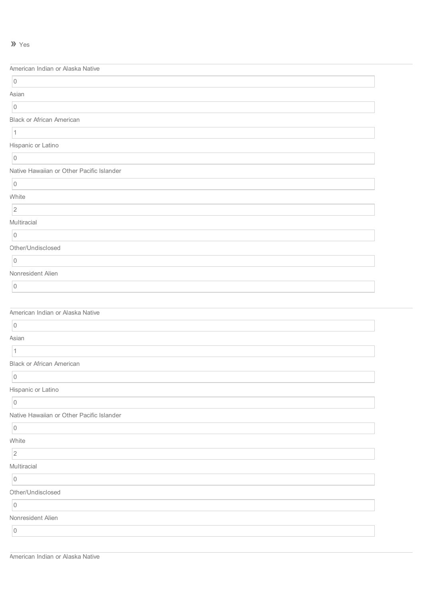### **»** Yes

| American Indian or Alaska Native          |  |
|-------------------------------------------|--|
| $\vert 0 \vert$                           |  |
| Asian                                     |  |
| $\vert 0 \vert$                           |  |
| <b>Black or African American</b>          |  |
| $ 1\rangle$                               |  |
| Hispanic or Latino                        |  |
| $\overline{0}$                            |  |
| Native Hawaiian or Other Pacific Islander |  |
| $\vert 0 \vert$                           |  |
| White                                     |  |
| $\vert$ 2                                 |  |
| Multiracial                               |  |
| $\vert 0 \vert$                           |  |
| Other/Undisclosed                         |  |
| $\vert$ 0                                 |  |
| Nonresident Alien                         |  |
| $\vert$ 0                                 |  |
|                                           |  |
| American Indian or Alaska Native          |  |
| $\vert$ 0                                 |  |
| Asian                                     |  |
| 1                                         |  |
| <b>Black or African American</b>          |  |
| $\overline{0}$                            |  |
| Hispanic or Latino                        |  |
| $\vert$ 0                                 |  |
| Native Hawaiian or Other Pacific Islander |  |
| $\vert$ 0                                 |  |
| White                                     |  |
| 2                                         |  |
| Multiracial                               |  |
| $\vert$ 0                                 |  |
| Other/Undisclosed                         |  |
| $\vert$ 0                                 |  |
| Nonresident Alien                         |  |
| $\overline{0}$                            |  |
|                                           |  |